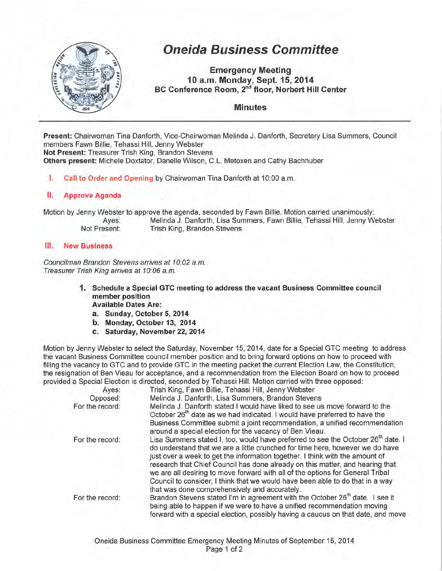

# **Oneida Business Committee**

**Emergency Meeting 10 a.m. Monday, Sept. 15, 2014 BC Conference Room,** 2"d **floor, Norbert Hill Center** 

## **Minutes**

**Present:** Chairwoman Tina Danforth, Vice-Chairwoman Melinda J. Danforth, Secretary Lisa Summers, Council members Fawn Billie, Tehassi Hill, Jenny Webster **Not Present:** Treasurer Trish King, Brandon Stevens **Others present: Michele Doxtator, Danelle Wilson, C.L. Metoxen and Cathy Bachhuber** 

I. **Call to Order and Opening** by Chairwoman Tina Danforth at 10:00 a.m.

#### **II. Approve Agenda**

Motion by Jenny Webster to approve the agenda, seconded by Fawn Billie. Motion carried unanimously:

Ayes: Melinda J. Danforth, Lisa Summers, Fawn Billie, Tehassi Hill, Jenny Webster Not Present: Trish King, Brandon Stevens

#### **Ill. New Business**

Councilman Brandon Stevens arrives at 10:02 a.m. Treasurer Trish King arrives at 10:06 a.m.

- **1. Schedule a Special GTC meeting to address the vacant Business Committee council member position Available Dates Are:** 
	- **a. Sunday, October 5, 2014**
	- **b. Monday, October 13, 2014**
	- **c. Saturday, November** 22, **2014**

Motion by Jenny Webster to select the Saturday, November 15, 2014, date for a Special GTC meeting to address the vacant Business Committee council member position and to bring forward options on how to proceed with filling the vacancy to GTC and to provide GTC in the meeting packet the current Election Law, the Constitution, the resignation of Ben Vieau for acceptance, and a recommendation from the Election Board on how to proceed provided a Special Election is directed, seconded by Tehassi Hill. Motion carried with three opposed:

| Ayes:           | Trish King, Fawn Billie, Tehassi Hill, Jenny Webster                                                                                                                                                                                                                                                                                                                                                                                                                                                                                                               |
|-----------------|--------------------------------------------------------------------------------------------------------------------------------------------------------------------------------------------------------------------------------------------------------------------------------------------------------------------------------------------------------------------------------------------------------------------------------------------------------------------------------------------------------------------------------------------------------------------|
| Opposed:        | Melinda J. Danforth, Lisa Summers, Brandon Stevens                                                                                                                                                                                                                                                                                                                                                                                                                                                                                                                 |
| For the record: | Melinda J. Danforth stated I would have liked to see us move forward to the<br>October 26 <sup>th</sup> date as we had indicated. I would have preferred to have the<br>Business Committee submit a joint recommendation, a unified recommendation                                                                                                                                                                                                                                                                                                                 |
|                 | around a special election for the vacancy of Ben Vieau.                                                                                                                                                                                                                                                                                                                                                                                                                                                                                                            |
| For the record: | Lisa Summers stated I, too, would have preferred to see the October 26 <sup>th</sup> date. I<br>do understand that we are a little crunched for time here, however we do have<br>just over a week to get the information together. I think with the amount of<br>research that Chief Council has done already on this matter, and hearing that<br>we are all desiring to move forward with all of the options for General Tribal<br>Council to consider, I think that we would have been able to do that in a way<br>that was done comprehensively and accurately. |
| For the record: | Brandon Stevens stated I'm in agreement with the October 26 <sup>th</sup> date. I see it<br>being able to happen if we were to have a unified recommendation moving<br>forward with a special election, possibly having a caucus on that date, and move                                                                                                                                                                                                                                                                                                            |